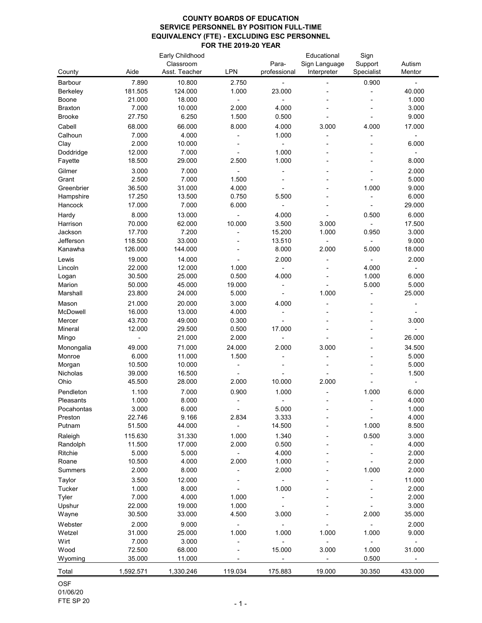|                 |           | Early Childhood            |                          |                       | Educational                  | Sign                  |                  |
|-----------------|-----------|----------------------------|--------------------------|-----------------------|------------------------------|-----------------------|------------------|
| County          | Aide      | Classroom<br>Asst. Teacher | <b>LPN</b>               | Para-<br>professional | Sign Language<br>Interpreter | Support<br>Specialist | Autism<br>Mentor |
| <b>Barbour</b>  | 7.890     | 10.800                     | 2.750                    | $\blacksquare$        |                              | 0.900                 | $\blacksquare$   |
| <b>Berkeley</b> | 181.505   | 124.000                    | 1.000                    | 23.000                |                              |                       | 40.000           |
| Boone           | 21.000    | 18.000                     |                          |                       |                              |                       | 1.000            |
| <b>Braxton</b>  | 7.000     | 10.000                     | 2.000                    | 4.000                 |                              |                       | 3.000            |
| <b>Brooke</b>   | 27.750    | 6.250                      | 1.500                    | 0.500                 |                              |                       | 9.000            |
| Cabell          | 68.000    | 66.000                     | 8.000                    | 4.000                 | 3.000                        | 4.000                 | 17.000           |
| Calhoun         | 7.000     | 4.000                      |                          | 1.000                 |                              |                       |                  |
| Clay            | 2.000     | 10.000                     |                          |                       |                              |                       | 6.000            |
| Doddridge       | 12.000    | 7.000                      |                          | 1.000                 |                              |                       |                  |
| Fayette         | 18.500    | 29.000                     | 2.500                    | 1.000                 |                              |                       | 8.000            |
| Gilmer          | 3.000     | 7.000                      |                          |                       |                              |                       | 2.000            |
| Grant           | 2.500     | 7.000                      | 1.500                    |                       |                              |                       | 5.000            |
| Greenbrier      | 36.500    | 31.000                     | 4.000                    |                       |                              | 1.000                 | 9.000            |
| Hampshire       | 17.250    | 13.500                     | 0.750                    | 5.500                 |                              |                       | 6.000            |
| Hancock         | 17.000    | 7.000                      | 6.000                    |                       |                              |                       | 29.000           |
| Hardy           | 8.000     | 13.000                     |                          | 4.000                 |                              | 0.500                 | 6.000            |
| Harrison        | 70.000    | 62.000                     | 10.000                   | 3.500                 | 3.000                        |                       | 17.500           |
| Jackson         | 17.700    | 7.200                      |                          | 15.200                | 1.000                        | 0.950                 | 3.000            |
| Jefferson       | 118.500   | 33.000                     | $\overline{\phantom{a}}$ | 13.510                |                              |                       | 9.000            |
| Kanawha         | 126.000   | 144.000                    |                          | 8.000                 | 2.000                        | 5.000                 | 18.000           |
| Lewis           | 19.000    | 14.000                     |                          | 2.000                 |                              | $\blacksquare$        | 2.000            |
| Lincoln         | 22.000    | 12.000                     | 1.000                    |                       |                              | 4.000                 |                  |
| Logan           | 30.500    | 25.000                     | 0.500                    | 4.000                 |                              | 1.000                 | 6.000            |
| Marion          | 50.000    | 45.000                     | 19.000                   |                       |                              | 5.000                 | 5.000            |
| Marshall        | 23.800    | 24.000                     | 5.000                    |                       | 1.000                        |                       | 25.000           |
| Mason           | 21.000    | 20.000                     | 3.000                    | 4.000                 |                              |                       |                  |
| McDowell        | 16.000    | 13.000                     | 4.000                    |                       |                              |                       |                  |
| Mercer          | 43.700    | 49.000                     | 0.300                    |                       |                              |                       | 3.000            |
| Mineral         | 12.000    | 29.500                     | 0.500                    | 17.000                |                              |                       |                  |
| Mingo           |           | 21.000                     | 2.000                    |                       |                              |                       | 26.000           |
| Monongalia      | 49.000    | 71.000                     | 24.000                   | 2.000                 | 3.000                        |                       | 34.500           |
| Monroe          | 6.000     | 11.000                     | 1.500                    |                       |                              |                       | 5.000            |
| Morgan          | 10.500    | 10.000                     |                          |                       |                              |                       | 5.000            |
| <b>Nicholas</b> | 39.000    | 16.500                     |                          |                       |                              |                       | 1.500            |
| Ohio            | 45.500    | 28.000                     | 2.000                    | 10.000                | 2.000                        |                       |                  |
| Pendleton       | 1.100     | 7.000                      | 0.900                    | 1.000                 |                              | 1.000                 | 6.000            |
| Pleasants       | 1.000     | 8.000                      |                          |                       |                              |                       | 4.000            |
| Pocahontas      | 3.000     | 6.000                      |                          | 5.000                 |                              |                       | 1.000            |
| Preston         | 22.746    | 9.166                      | 2.834                    | 3.333                 |                              |                       | 4.000            |
| Putnam          | 51.500    | 44.000                     |                          | 14.500                |                              | 1.000                 | 8.500            |
| Raleigh         | 115.630   | 31.330                     | 1.000                    | 1.340                 |                              | 0.500                 | 3.000            |
| Randolph        | 11.500    | 17.000                     | 2.000                    | 0.500                 |                              |                       | 4.000            |
| Ritchie         | 5.000     | 5.000                      |                          | 4.000                 |                              |                       | 2.000            |
| Roane           | 10.500    | 4.000                      | 2.000                    | 1.000                 |                              |                       | 2.000            |
| <b>Summers</b>  | 2.000     | 8.000                      |                          | 2.000                 |                              | 1.000                 | 2.000            |
| Taylor          | 3.500     | 12.000                     |                          |                       |                              |                       | 11.000           |
| <b>Tucker</b>   | 1.000     | 8.000                      |                          | 1.000                 |                              |                       | 2.000            |
| Tyler           | 7.000     | 4.000                      | 1.000                    |                       |                              |                       | 2.000            |
| Upshur          | 22.000    | 19.000                     | 1.000                    |                       |                              |                       | 3.000            |
| Wayne           | 30.500    | 33.000                     | 4.500                    | 3.000                 |                              | 2.000                 | 35.000           |
| Webster         | 2.000     | 9.000                      |                          |                       |                              |                       | 2.000            |
| Wetzel          | 31.000    | 25.000                     | 1.000                    | 1.000                 | 1.000                        | 1.000                 | 9.000            |
| Wirt            | 7.000     | 3.000                      |                          |                       |                              |                       |                  |
| Wood            | 72.500    | 68.000                     |                          | 15.000                | 3.000                        | 1.000                 | 31.000           |
| Wyoming         | 35.000    | 11.000                     |                          |                       |                              | 0.500                 |                  |
| Total           | 1,592.571 | 1,330.246                  | 119.034                  | 175.883               | 19.000                       | 30.350                | 433.000          |
|                 |           |                            |                          |                       |                              |                       |                  |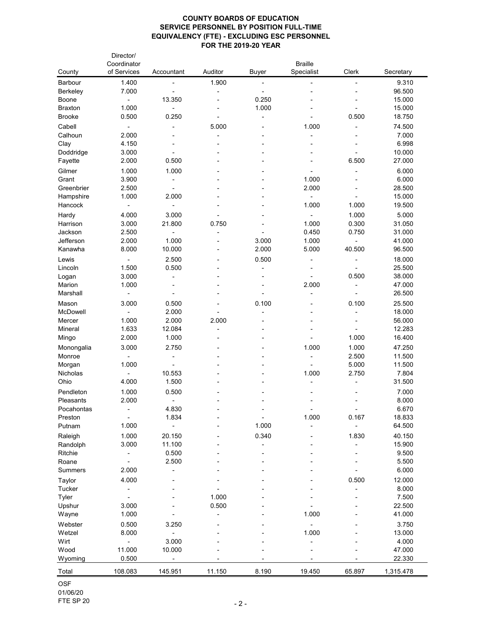| Coordinator<br><b>Braille</b><br>of Services<br>Auditor<br>Specialist<br><b>Clerk</b><br>County<br>Accountant<br><b>Buyer</b><br>1.900<br>1.400<br>Barbour<br>$\qquad \qquad \blacksquare$<br>7.000<br><b>Berkeley</b><br>13.350<br>0.250<br>Boone<br>$\blacksquare$<br><b>Braxton</b><br>1.000<br>1.000<br><b>Brooke</b><br>0.500<br>0.250<br>0.500<br>۰<br>5.000<br>Cabell<br>1.000<br>$\frac{1}{2}$<br>Calhoun<br>2.000<br>Clay<br>4.150<br>Doddridge<br>3.000<br>Fayette<br>2.000<br>0.500<br>6.500<br>Gilmer<br>1.000<br>1.000<br>3.900<br>Grant<br>1.000<br>2.000<br>Greenbrier<br>2.500<br>1.000<br>Hampshire<br>2.000<br>$\blacksquare$<br>1.000<br>1.000<br>Hancock<br>٠<br>1.000<br>Hardy<br>4.000<br>3.000<br>3.000<br>21.800<br>0.750<br>0.300<br>Harrison<br>1.000<br>Jackson<br>0.450<br>0.750<br>2.500<br>$\blacksquare$<br>Jefferson<br>1.000<br>2.000<br>1.000<br>3.000<br>8.000<br>10.000<br>2.000<br>5.000<br>40.500<br>Kanawha<br>2.500<br>0.500<br>Lewis<br>۰<br>$\blacksquare$<br>1.500<br>0.500<br>Lincoln<br>۰<br>$\blacksquare$<br>3.000<br>0.500<br>Logan<br>$\blacksquare$<br>$\blacksquare$<br>Marion<br>1.000<br>2.000<br>$\blacksquare$<br>Marshall<br>-<br>$\blacksquare$<br>Mason<br>3.000<br>0.100<br>0.100<br>0.500<br>McDowell<br>2.000<br>1.000<br>2.000<br>2.000<br>Mercer<br>1.633<br>12.084<br>Mineral<br>2.000<br>1.000<br>1.000<br>Mingo | Secretary<br>9.310<br>96.500<br>15.000<br>15.000<br>18.750 |
|-----------------------------------------------------------------------------------------------------------------------------------------------------------------------------------------------------------------------------------------------------------------------------------------------------------------------------------------------------------------------------------------------------------------------------------------------------------------------------------------------------------------------------------------------------------------------------------------------------------------------------------------------------------------------------------------------------------------------------------------------------------------------------------------------------------------------------------------------------------------------------------------------------------------------------------------------------------------------------------------------------------------------------------------------------------------------------------------------------------------------------------------------------------------------------------------------------------------------------------------------------------------------------------------------------------------------------------------------------------------------------------|------------------------------------------------------------|
|                                                                                                                                                                                                                                                                                                                                                                                                                                                                                                                                                                                                                                                                                                                                                                                                                                                                                                                                                                                                                                                                                                                                                                                                                                                                                                                                                                                   |                                                            |
|                                                                                                                                                                                                                                                                                                                                                                                                                                                                                                                                                                                                                                                                                                                                                                                                                                                                                                                                                                                                                                                                                                                                                                                                                                                                                                                                                                                   |                                                            |
|                                                                                                                                                                                                                                                                                                                                                                                                                                                                                                                                                                                                                                                                                                                                                                                                                                                                                                                                                                                                                                                                                                                                                                                                                                                                                                                                                                                   |                                                            |
|                                                                                                                                                                                                                                                                                                                                                                                                                                                                                                                                                                                                                                                                                                                                                                                                                                                                                                                                                                                                                                                                                                                                                                                                                                                                                                                                                                                   |                                                            |
|                                                                                                                                                                                                                                                                                                                                                                                                                                                                                                                                                                                                                                                                                                                                                                                                                                                                                                                                                                                                                                                                                                                                                                                                                                                                                                                                                                                   |                                                            |
|                                                                                                                                                                                                                                                                                                                                                                                                                                                                                                                                                                                                                                                                                                                                                                                                                                                                                                                                                                                                                                                                                                                                                                                                                                                                                                                                                                                   |                                                            |
|                                                                                                                                                                                                                                                                                                                                                                                                                                                                                                                                                                                                                                                                                                                                                                                                                                                                                                                                                                                                                                                                                                                                                                                                                                                                                                                                                                                   |                                                            |
|                                                                                                                                                                                                                                                                                                                                                                                                                                                                                                                                                                                                                                                                                                                                                                                                                                                                                                                                                                                                                                                                                                                                                                                                                                                                                                                                                                                   | 74.500                                                     |
|                                                                                                                                                                                                                                                                                                                                                                                                                                                                                                                                                                                                                                                                                                                                                                                                                                                                                                                                                                                                                                                                                                                                                                                                                                                                                                                                                                                   | 7.000                                                      |
|                                                                                                                                                                                                                                                                                                                                                                                                                                                                                                                                                                                                                                                                                                                                                                                                                                                                                                                                                                                                                                                                                                                                                                                                                                                                                                                                                                                   | 6.998                                                      |
|                                                                                                                                                                                                                                                                                                                                                                                                                                                                                                                                                                                                                                                                                                                                                                                                                                                                                                                                                                                                                                                                                                                                                                                                                                                                                                                                                                                   | 10.000                                                     |
|                                                                                                                                                                                                                                                                                                                                                                                                                                                                                                                                                                                                                                                                                                                                                                                                                                                                                                                                                                                                                                                                                                                                                                                                                                                                                                                                                                                   | 27.000                                                     |
|                                                                                                                                                                                                                                                                                                                                                                                                                                                                                                                                                                                                                                                                                                                                                                                                                                                                                                                                                                                                                                                                                                                                                                                                                                                                                                                                                                                   | 6.000                                                      |
|                                                                                                                                                                                                                                                                                                                                                                                                                                                                                                                                                                                                                                                                                                                                                                                                                                                                                                                                                                                                                                                                                                                                                                                                                                                                                                                                                                                   | 6.000                                                      |
|                                                                                                                                                                                                                                                                                                                                                                                                                                                                                                                                                                                                                                                                                                                                                                                                                                                                                                                                                                                                                                                                                                                                                                                                                                                                                                                                                                                   | 28.500                                                     |
|                                                                                                                                                                                                                                                                                                                                                                                                                                                                                                                                                                                                                                                                                                                                                                                                                                                                                                                                                                                                                                                                                                                                                                                                                                                                                                                                                                                   | 15.000                                                     |
|                                                                                                                                                                                                                                                                                                                                                                                                                                                                                                                                                                                                                                                                                                                                                                                                                                                                                                                                                                                                                                                                                                                                                                                                                                                                                                                                                                                   | 19.500                                                     |
|                                                                                                                                                                                                                                                                                                                                                                                                                                                                                                                                                                                                                                                                                                                                                                                                                                                                                                                                                                                                                                                                                                                                                                                                                                                                                                                                                                                   | 5.000                                                      |
|                                                                                                                                                                                                                                                                                                                                                                                                                                                                                                                                                                                                                                                                                                                                                                                                                                                                                                                                                                                                                                                                                                                                                                                                                                                                                                                                                                                   | 31.050                                                     |
|                                                                                                                                                                                                                                                                                                                                                                                                                                                                                                                                                                                                                                                                                                                                                                                                                                                                                                                                                                                                                                                                                                                                                                                                                                                                                                                                                                                   | 31.000                                                     |
|                                                                                                                                                                                                                                                                                                                                                                                                                                                                                                                                                                                                                                                                                                                                                                                                                                                                                                                                                                                                                                                                                                                                                                                                                                                                                                                                                                                   | 41.000                                                     |
|                                                                                                                                                                                                                                                                                                                                                                                                                                                                                                                                                                                                                                                                                                                                                                                                                                                                                                                                                                                                                                                                                                                                                                                                                                                                                                                                                                                   |                                                            |
|                                                                                                                                                                                                                                                                                                                                                                                                                                                                                                                                                                                                                                                                                                                                                                                                                                                                                                                                                                                                                                                                                                                                                                                                                                                                                                                                                                                   | 96.500                                                     |
|                                                                                                                                                                                                                                                                                                                                                                                                                                                                                                                                                                                                                                                                                                                                                                                                                                                                                                                                                                                                                                                                                                                                                                                                                                                                                                                                                                                   | 18.000                                                     |
|                                                                                                                                                                                                                                                                                                                                                                                                                                                                                                                                                                                                                                                                                                                                                                                                                                                                                                                                                                                                                                                                                                                                                                                                                                                                                                                                                                                   | 25.500                                                     |
|                                                                                                                                                                                                                                                                                                                                                                                                                                                                                                                                                                                                                                                                                                                                                                                                                                                                                                                                                                                                                                                                                                                                                                                                                                                                                                                                                                                   | 38.000                                                     |
|                                                                                                                                                                                                                                                                                                                                                                                                                                                                                                                                                                                                                                                                                                                                                                                                                                                                                                                                                                                                                                                                                                                                                                                                                                                                                                                                                                                   | 47.000                                                     |
|                                                                                                                                                                                                                                                                                                                                                                                                                                                                                                                                                                                                                                                                                                                                                                                                                                                                                                                                                                                                                                                                                                                                                                                                                                                                                                                                                                                   | 26.500                                                     |
|                                                                                                                                                                                                                                                                                                                                                                                                                                                                                                                                                                                                                                                                                                                                                                                                                                                                                                                                                                                                                                                                                                                                                                                                                                                                                                                                                                                   | 25.500                                                     |
|                                                                                                                                                                                                                                                                                                                                                                                                                                                                                                                                                                                                                                                                                                                                                                                                                                                                                                                                                                                                                                                                                                                                                                                                                                                                                                                                                                                   | 18.000                                                     |
|                                                                                                                                                                                                                                                                                                                                                                                                                                                                                                                                                                                                                                                                                                                                                                                                                                                                                                                                                                                                                                                                                                                                                                                                                                                                                                                                                                                   | 56.000                                                     |
|                                                                                                                                                                                                                                                                                                                                                                                                                                                                                                                                                                                                                                                                                                                                                                                                                                                                                                                                                                                                                                                                                                                                                                                                                                                                                                                                                                                   | 12.283                                                     |
|                                                                                                                                                                                                                                                                                                                                                                                                                                                                                                                                                                                                                                                                                                                                                                                                                                                                                                                                                                                                                                                                                                                                                                                                                                                                                                                                                                                   | 16.400                                                     |
| 1.000<br>3.000<br>2.750<br>1.000<br>Monongalia                                                                                                                                                                                                                                                                                                                                                                                                                                                                                                                                                                                                                                                                                                                                                                                                                                                                                                                                                                                                                                                                                                                                                                                                                                                                                                                                    | 47.250                                                     |
| 2.500<br>Monroe                                                                                                                                                                                                                                                                                                                                                                                                                                                                                                                                                                                                                                                                                                                                                                                                                                                                                                                                                                                                                                                                                                                                                                                                                                                                                                                                                                   | 11.500                                                     |
| 5.000<br>1.000<br>Morgan                                                                                                                                                                                                                                                                                                                                                                                                                                                                                                                                                                                                                                                                                                                                                                                                                                                                                                                                                                                                                                                                                                                                                                                                                                                                                                                                                          | 11.500                                                     |
| Nicholas<br>10.553<br>1.000<br>2.750                                                                                                                                                                                                                                                                                                                                                                                                                                                                                                                                                                                                                                                                                                                                                                                                                                                                                                                                                                                                                                                                                                                                                                                                                                                                                                                                              | 7.804                                                      |
| 1.500<br>Ohio<br>4.000                                                                                                                                                                                                                                                                                                                                                                                                                                                                                                                                                                                                                                                                                                                                                                                                                                                                                                                                                                                                                                                                                                                                                                                                                                                                                                                                                            | 31.500                                                     |
| Pendleton<br>1.000<br>0.500                                                                                                                                                                                                                                                                                                                                                                                                                                                                                                                                                                                                                                                                                                                                                                                                                                                                                                                                                                                                                                                                                                                                                                                                                                                                                                                                                       | 7.000                                                      |
| 2.000<br>Pleasants                                                                                                                                                                                                                                                                                                                                                                                                                                                                                                                                                                                                                                                                                                                                                                                                                                                                                                                                                                                                                                                                                                                                                                                                                                                                                                                                                                | 8.000                                                      |
| Pocahontas<br>4.830                                                                                                                                                                                                                                                                                                                                                                                                                                                                                                                                                                                                                                                                                                                                                                                                                                                                                                                                                                                                                                                                                                                                                                                                                                                                                                                                                               | 6.670                                                      |
| 1.000<br>0.167<br>1.834<br>Preston                                                                                                                                                                                                                                                                                                                                                                                                                                                                                                                                                                                                                                                                                                                                                                                                                                                                                                                                                                                                                                                                                                                                                                                                                                                                                                                                                | 18.833                                                     |
| 1.000<br>1.000<br>Putnam                                                                                                                                                                                                                                                                                                                                                                                                                                                                                                                                                                                                                                                                                                                                                                                                                                                                                                                                                                                                                                                                                                                                                                                                                                                                                                                                                          | 64.500                                                     |
| 1.000<br>0.340<br>1.830<br>Raleigh<br>20.150                                                                                                                                                                                                                                                                                                                                                                                                                                                                                                                                                                                                                                                                                                                                                                                                                                                                                                                                                                                                                                                                                                                                                                                                                                                                                                                                      | 40.150                                                     |
| 3.000<br>11.100<br>Randolph                                                                                                                                                                                                                                                                                                                                                                                                                                                                                                                                                                                                                                                                                                                                                                                                                                                                                                                                                                                                                                                                                                                                                                                                                                                                                                                                                       | 15.900                                                     |
| Ritchie<br>0.500                                                                                                                                                                                                                                                                                                                                                                                                                                                                                                                                                                                                                                                                                                                                                                                                                                                                                                                                                                                                                                                                                                                                                                                                                                                                                                                                                                  | 9.500                                                      |
| 2.500<br>Roane                                                                                                                                                                                                                                                                                                                                                                                                                                                                                                                                                                                                                                                                                                                                                                                                                                                                                                                                                                                                                                                                                                                                                                                                                                                                                                                                                                    | 5.500                                                      |
| 2.000<br><b>Summers</b>                                                                                                                                                                                                                                                                                                                                                                                                                                                                                                                                                                                                                                                                                                                                                                                                                                                                                                                                                                                                                                                                                                                                                                                                                                                                                                                                                           | 6.000                                                      |
|                                                                                                                                                                                                                                                                                                                                                                                                                                                                                                                                                                                                                                                                                                                                                                                                                                                                                                                                                                                                                                                                                                                                                                                                                                                                                                                                                                                   |                                                            |
| 4.000<br>0.500<br>Taylor                                                                                                                                                                                                                                                                                                                                                                                                                                                                                                                                                                                                                                                                                                                                                                                                                                                                                                                                                                                                                                                                                                                                                                                                                                                                                                                                                          | 12.000                                                     |
| <b>Tucker</b>                                                                                                                                                                                                                                                                                                                                                                                                                                                                                                                                                                                                                                                                                                                                                                                                                                                                                                                                                                                                                                                                                                                                                                                                                                                                                                                                                                     | 8.000                                                      |
| 1.000<br><b>Tyler</b>                                                                                                                                                                                                                                                                                                                                                                                                                                                                                                                                                                                                                                                                                                                                                                                                                                                                                                                                                                                                                                                                                                                                                                                                                                                                                                                                                             | 7.500                                                      |
| 3.000<br>0.500<br>Upshur                                                                                                                                                                                                                                                                                                                                                                                                                                                                                                                                                                                                                                                                                                                                                                                                                                                                                                                                                                                                                                                                                                                                                                                                                                                                                                                                                          | 22.500                                                     |
| 1.000<br>1.000<br>Wayne                                                                                                                                                                                                                                                                                                                                                                                                                                                                                                                                                                                                                                                                                                                                                                                                                                                                                                                                                                                                                                                                                                                                                                                                                                                                                                                                                           | 41.000                                                     |
| Webster<br>0.500<br>3.250                                                                                                                                                                                                                                                                                                                                                                                                                                                                                                                                                                                                                                                                                                                                                                                                                                                                                                                                                                                                                                                                                                                                                                                                                                                                                                                                                         | 3.750                                                      |
| Wetzel<br>8.000<br>1.000                                                                                                                                                                                                                                                                                                                                                                                                                                                                                                                                                                                                                                                                                                                                                                                                                                                                                                                                                                                                                                                                                                                                                                                                                                                                                                                                                          | 13.000                                                     |
| Wirt<br>3.000                                                                                                                                                                                                                                                                                                                                                                                                                                                                                                                                                                                                                                                                                                                                                                                                                                                                                                                                                                                                                                                                                                                                                                                                                                                                                                                                                                     | 4.000                                                      |
| 11.000<br>10.000<br>Wood                                                                                                                                                                                                                                                                                                                                                                                                                                                                                                                                                                                                                                                                                                                                                                                                                                                                                                                                                                                                                                                                                                                                                                                                                                                                                                                                                          | 47.000                                                     |
| 0.500<br>Wyoming                                                                                                                                                                                                                                                                                                                                                                                                                                                                                                                                                                                                                                                                                                                                                                                                                                                                                                                                                                                                                                                                                                                                                                                                                                                                                                                                                                  |                                                            |
| 108.083<br>145.951<br>11.150<br>8.190<br>19.450<br>65.897<br>1,315.478<br>Total                                                                                                                                                                                                                                                                                                                                                                                                                                                                                                                                                                                                                                                                                                                                                                                                                                                                                                                                                                                                                                                                                                                                                                                                                                                                                                   | 22.330                                                     |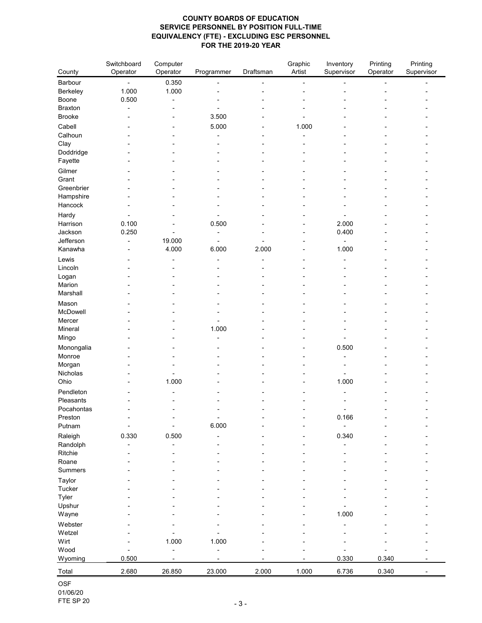| County                  | Switchboard<br>Operator | Computer<br>Operator | Programmer | Draftsman | Graphic<br>Artist | Inventory<br>Supervisor | Printing<br>Operator | Printing<br>Supervisor |
|-------------------------|-------------------------|----------------------|------------|-----------|-------------------|-------------------------|----------------------|------------------------|
|                         |                         |                      |            |           |                   |                         |                      |                        |
| Barbour                 |                         | 0.350                |            |           | $\blacksquare$    |                         |                      |                        |
| Berkeley                | 1.000                   | 1.000                |            |           |                   |                         |                      |                        |
| Boone<br><b>Braxton</b> | 0.500                   |                      |            |           |                   |                         |                      |                        |
| <b>Brooke</b>           |                         |                      | 3.500      |           |                   |                         |                      |                        |
|                         |                         |                      |            |           |                   |                         |                      |                        |
| Cabell                  |                         |                      | 5.000      |           | 1.000             |                         |                      |                        |
| Calhoun                 |                         |                      |            |           |                   |                         |                      |                        |
| Clay<br>Doddridge       |                         |                      |            |           |                   |                         |                      |                        |
| Fayette                 |                         |                      |            |           |                   |                         |                      |                        |
|                         |                         |                      |            |           |                   |                         |                      |                        |
| Gilmer<br>Grant         |                         |                      |            |           |                   |                         |                      |                        |
| Greenbrier              |                         |                      |            |           |                   |                         |                      |                        |
| Hampshire               |                         |                      |            |           |                   |                         |                      |                        |
| Hancock                 |                         |                      |            |           |                   |                         |                      |                        |
| Hardy                   |                         |                      |            |           |                   |                         |                      |                        |
| Harrison                | 0.100                   |                      | 0.500      |           |                   | 2.000                   |                      |                        |
| Jackson                 | 0.250                   |                      |            |           |                   | 0.400                   |                      |                        |
| Jefferson               |                         | 19.000               |            |           |                   |                         |                      |                        |
| Kanawha                 |                         | 4.000                | 6.000      | 2.000     |                   | 1.000                   |                      |                        |
| Lewis                   |                         |                      |            |           |                   |                         |                      |                        |
| Lincoln                 |                         |                      |            |           |                   |                         |                      |                        |
| Logan                   |                         |                      |            |           |                   |                         |                      |                        |
| Marion                  |                         |                      |            |           |                   |                         |                      |                        |
| Marshall                |                         |                      |            |           |                   |                         |                      |                        |
| Mason                   |                         |                      |            |           |                   |                         |                      |                        |
| McDowell                |                         |                      |            |           |                   |                         |                      |                        |
| Mercer                  |                         |                      |            |           |                   |                         |                      |                        |
| Mineral                 |                         |                      | 1.000      |           |                   |                         |                      |                        |
| Mingo                   |                         |                      |            |           |                   |                         |                      |                        |
| Monongalia              |                         |                      |            |           |                   | 0.500                   |                      |                        |
| Monroe                  |                         |                      |            |           |                   |                         |                      |                        |
| Morgan                  |                         |                      |            |           |                   |                         |                      |                        |
| Nicholas                |                         |                      |            |           |                   |                         |                      |                        |
| Ohio                    |                         | 1.000                |            |           |                   | 1.000                   |                      |                        |
| Pendleton               |                         |                      |            |           |                   |                         |                      |                        |
| Pleasants               |                         |                      |            |           |                   |                         |                      |                        |
| Pocahontas              |                         |                      |            |           |                   |                         |                      |                        |
| Preston                 |                         |                      |            |           |                   | 0.166                   |                      |                        |
| Putnam                  |                         |                      | 6.000      |           |                   |                         |                      |                        |
| Raleigh                 | 0.330                   | 0.500                |            |           |                   | 0.340                   |                      |                        |
| Randolph                |                         |                      |            |           |                   |                         |                      |                        |
| Ritchie                 |                         |                      |            |           |                   |                         |                      |                        |
| Roane                   |                         |                      |            |           |                   |                         |                      |                        |
| <b>Summers</b>          |                         |                      |            |           |                   |                         |                      |                        |
| Taylor                  |                         |                      |            |           |                   |                         |                      |                        |
| <b>Tucker</b>           |                         |                      |            |           |                   |                         |                      |                        |
| <b>Tyler</b>            |                         |                      |            |           |                   |                         |                      |                        |
| Upshur                  |                         |                      |            |           |                   |                         |                      |                        |
| Wayne                   |                         |                      |            |           |                   | 1.000                   |                      |                        |
| Webster                 |                         |                      |            |           |                   |                         |                      |                        |
| Wetzel                  |                         |                      |            |           |                   |                         |                      |                        |
| Wirt                    |                         | 1.000                | 1.000      |           |                   |                         |                      |                        |
| Wood                    |                         |                      |            |           |                   |                         |                      |                        |
| Wyoming                 | 0.500                   |                      |            |           |                   | 0.330                   | 0.340                |                        |
| Total                   | 2.680                   | 26.850               | 23.000     | 2.000     | 1.000             | 6.736                   | 0.340                |                        |

OSF 01/06/20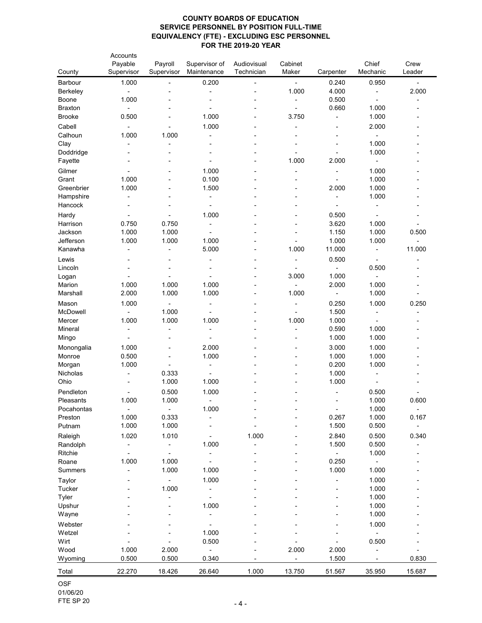| County                  | Accounts<br>Payable<br>Supervisor | Payroll<br>Supervisor | Supervisor of<br>Maintenance | Audiovisual<br>Technician | Cabinet<br>Maker | Carpenter      | Chief<br>Mechanic | Crew<br>Leader |
|-------------------------|-----------------------------------|-----------------------|------------------------------|---------------------------|------------------|----------------|-------------------|----------------|
| Barbour                 | 1.000                             |                       | 0.200                        |                           | $\blacksquare$   | 0.240          | 0.950             | $\blacksquare$ |
| <b>Berkeley</b>         |                                   |                       |                              |                           | 1.000            | 4.000          |                   | 2.000          |
| Boone                   | 1.000                             |                       |                              |                           |                  | 0.500          |                   |                |
| <b>Braxton</b>          |                                   |                       |                              |                           |                  | 0.660          | 1.000             |                |
| <b>Brooke</b>           | 0.500                             |                       | 1.000                        |                           | 3.750            | $\blacksquare$ | 1.000             |                |
| Cabell                  |                                   |                       | 1.000                        |                           |                  |                | 2.000             |                |
| Calhoun                 | 1.000                             | 1.000                 |                              |                           |                  |                |                   |                |
| Clay                    |                                   |                       |                              |                           |                  |                | 1.000             |                |
| Doddridge               |                                   |                       |                              |                           |                  |                | 1.000             |                |
| Fayette                 |                                   |                       |                              |                           | 1.000            | 2.000          | $\blacksquare$    |                |
| Gilmer                  |                                   |                       | 1.000                        |                           |                  |                | 1.000             |                |
| Grant                   | 1.000                             |                       | 0.100                        |                           |                  |                | 1.000             |                |
| Greenbrier              | 1.000                             |                       | 1.500                        |                           |                  | 2.000          | 1.000             |                |
| Hampshire               |                                   |                       |                              |                           |                  |                | 1.000             |                |
| Hancock                 |                                   |                       |                              |                           |                  |                |                   |                |
| Hardy                   |                                   |                       | 1.000                        |                           |                  | 0.500          |                   |                |
| Harrison                | 0.750                             | 0.750                 |                              |                           |                  | 3.620          | 1.000             |                |
| Jackson                 | 1.000                             | 1.000                 |                              |                           |                  | 1.150          | 1.000             | 0.500          |
| Jefferson               | 1.000                             | 1.000                 | 1.000                        |                           |                  | 1.000          | 1.000             |                |
| Kanawha                 |                                   |                       | 5.000                        |                           | 1.000            | 11.000         |                   | 11.000         |
| Lewis                   |                                   |                       |                              |                           |                  | 0.500          |                   |                |
| Lincoln                 |                                   |                       |                              |                           |                  | $\blacksquare$ | 0.500             |                |
| Logan                   |                                   |                       |                              |                           | 3.000            | 1.000          |                   |                |
| Marion                  | 1.000                             | 1.000                 | 1.000                        |                           |                  | 2.000          | 1.000             |                |
| Marshall                | 2.000                             | 1.000                 | 1.000                        |                           | 1.000            | ۰              | 1.000             |                |
| Mason                   | 1.000                             |                       |                              |                           |                  | 0.250          | 1.000             | 0.250          |
| McDowell                |                                   | 1.000                 |                              |                           |                  | 1.500          |                   |                |
| Mercer                  | 1.000                             | 1.000                 | 1.000                        |                           | 1.000            | 1.000          |                   |                |
| <b>Mineral</b>          |                                   |                       |                              |                           |                  | 0.590          | 1.000             |                |
| Mingo                   |                                   |                       |                              |                           |                  | 1.000          | 1.000             |                |
| Monongalia              | 1.000                             |                       | 2.000                        |                           |                  | 3.000          | 1.000             |                |
| Monroe                  | 0.500                             |                       | 1.000                        |                           |                  | 1.000          | 1.000             |                |
| Morgan                  | 1.000                             |                       |                              |                           |                  | 0.200          | 1.000             |                |
| Nicholas                |                                   | 0.333                 |                              |                           |                  | 1.000          |                   |                |
| Ohio                    |                                   | 1.000                 | 1.000                        |                           |                  | 1.000          |                   |                |
| Pendleton               |                                   | 0.500                 | 1.000                        |                           |                  |                | 0.500             |                |
| Pleasants               | 1.000                             | 1.000                 | $\overline{a}$               |                           |                  |                | 1.000             | 0.600          |
| Pocahontas              |                                   |                       | 1.000                        |                           |                  |                | 1.000             |                |
| Preston                 | 1.000                             | 0.333                 |                              |                           |                  | 0.267          | 1.000             | 0.167          |
| Putnam                  | 1.000                             | 1.000                 |                              |                           |                  | 1.500          | 0.500             |                |
| Raleigh                 | 1.020                             | 1.010                 |                              | 1.000                     |                  | 2.840          | 0.500             | 0.340          |
| Randolph                |                                   |                       | 1.000                        |                           |                  | 1.500          | 0.500             |                |
| Ritchie                 |                                   |                       |                              |                           |                  |                | 1.000             |                |
| Roane                   | 1.000                             | 1.000                 |                              |                           |                  | 0.250          |                   |                |
| <b>Summers</b>          |                                   | 1.000                 | 1.000                        |                           |                  | 1.000          | 1.000             |                |
|                         |                                   | $\blacksquare$        | 1.000                        |                           |                  |                | 1.000             |                |
| Taylor<br><b>Tucker</b> |                                   | 1.000                 |                              |                           |                  |                | 1.000             |                |
| <b>Tyler</b>            |                                   |                       |                              |                           |                  |                | 1.000             |                |
| Upshur                  |                                   |                       | 1.000                        |                           |                  |                | 1.000             |                |
| Wayne                   |                                   |                       |                              |                           |                  |                | 1.000             |                |
|                         |                                   |                       |                              |                           |                  |                |                   |                |
| Webster                 |                                   |                       |                              |                           |                  |                | 1.000             |                |
| Wetzel<br>Wirt          |                                   |                       | 1.000<br>0.500               |                           |                  |                |                   |                |
|                         | 1.000                             | 2.000                 |                              |                           |                  |                | 0.500             |                |
| Wood<br>Wyoming         | 0.500                             | 0.500                 | $\blacksquare$<br>0.340      |                           | 2.000            | 2.000<br>1.500 |                   | 0.830          |
| Total                   | 22.270                            | 18.426                | 26.640                       | 1.000                     | 13.750           | 51.567         | 35.950            | 15.687         |
|                         |                                   |                       |                              |                           |                  |                |                   |                |

OSF 01/06/20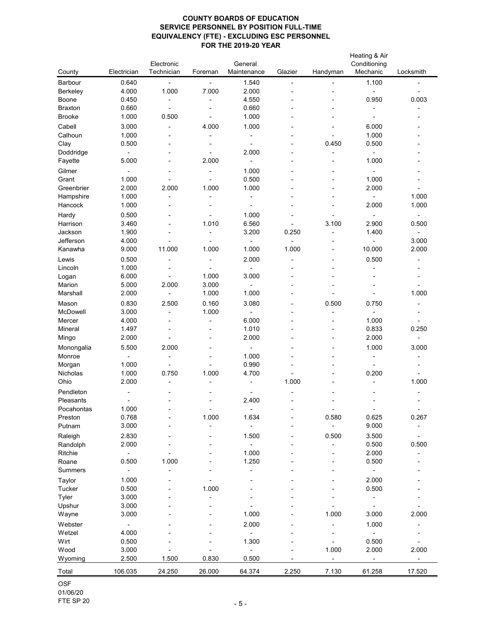| County                  | Electrician    | Electronic<br>Technician | Foreman        | General<br>Maintenance            | Glazier                  | Handyman                 | Heating & Air<br>Conditioning<br>Mechanic | Locksmith      |
|-------------------------|----------------|--------------------------|----------------|-----------------------------------|--------------------------|--------------------------|-------------------------------------------|----------------|
| <b>Barbour</b>          | 0.640          | $\blacksquare$           | $\blacksquare$ | 1.540                             | $\blacksquare$           |                          | 1.100                                     |                |
| Berkeley                | 4.000          | 1.000                    | 7.000          | 2.000                             |                          |                          |                                           |                |
| <b>Boone</b>            | 0.450          | $\blacksquare$           | $\blacksquare$ | 4.550                             |                          |                          | 0.950                                     | 0.003          |
| <b>Braxton</b>          | 0.660          | $\overline{\phantom{a}}$ |                | 0.660                             |                          |                          |                                           |                |
| <b>Brooke</b>           | 1.000          | 0.500                    | $\blacksquare$ | 1.000                             |                          |                          |                                           |                |
| Cabell                  | 3.000          | $\overline{\phantom{a}}$ | 4.000          | 1.000                             | -                        |                          | 6.000                                     |                |
| Calhoun                 | 1.000          |                          | $\overline{a}$ | $\blacksquare$                    |                          |                          | 1.000                                     |                |
| Clay                    | 0.500          |                          |                |                                   |                          | 0.450                    | 0.500                                     |                |
| Doddridge               | $\blacksquare$ |                          |                | 2.000                             |                          |                          | $\blacksquare$                            |                |
| Fayette                 | 5.000          |                          | 2.000          | $\blacksquare$                    |                          |                          | 1.000                                     |                |
| Gilmer                  | $\blacksquare$ |                          |                | 1.000                             |                          |                          | $\sim$                                    |                |
| Grant                   | 1.000          |                          |                | 0.500                             |                          |                          | 1.000                                     |                |
| Greenbrier              | 2.000          | 2.000                    | 1.000          | 1.000                             |                          | $\overline{\phantom{a}}$ | 2.000                                     |                |
| Hampshire               | 1.000          | $\blacksquare$           | $\blacksquare$ | $\blacksquare$                    |                          |                          | $\blacksquare$                            | 1.000          |
| Hancock                 | 1.000          |                          |                |                                   |                          |                          | 2.000                                     | 1.000          |
| Hardy                   | 0.500          |                          |                | 1.000                             |                          |                          | $\blacksquare$                            |                |
| Harrison                | 3.460          |                          | 1.010          | 6.560                             |                          | 3.100                    | 2.900                                     | 0.500          |
| Jackson<br>Jefferson    | 1.900          |                          | $\overline{a}$ | 3.200                             | 0.250                    | $\blacksquare$           | 1.400                                     | $\blacksquare$ |
| Kanawha                 | 4.000<br>9.000 | 11.000                   | 1.000          | $\overline{\phantom{a}}$<br>1.000 | $\blacksquare$<br>1.000  | $\blacksquare$           | 10.000                                    | 3.000<br>2.000 |
|                         |                |                          |                |                                   |                          |                          |                                           |                |
| Lewis<br>Lincoln        | 0.500<br>1.000 | $\blacksquare$           | $\overline{a}$ | 2.000<br>$\blacksquare$           | $\overline{\phantom{a}}$ | $\blacksquare$           | 0.500                                     |                |
| Logan                   | 6.000          |                          | 1.000          | 3.000                             |                          |                          |                                           |                |
| Marion                  | 5.000          | 2.000                    | 3.000          | $\blacksquare$                    |                          |                          |                                           |                |
| Marshall                | 2.000          | $\blacksquare$           | 1.000          | 1.000                             |                          |                          |                                           | 1.000          |
| Mason                   | 0.830          | 2.500                    | 0.160          | 3.080                             |                          | 0.500                    | 0.750                                     |                |
| McDowell                | 3.000          |                          | 1.000          | $\blacksquare$                    |                          |                          | $\blacksquare$                            |                |
| Mercer                  | 4.000          |                          |                | 6.000                             |                          |                          | 1.000                                     |                |
| Mineral                 | 1.497          |                          |                | 1.010                             |                          |                          | 0.833                                     | 0.250          |
| Mingo                   | 2.000          |                          |                | 2.000                             |                          |                          | 2.000                                     |                |
| Monongalia              | 5.500          | 2.000                    |                | $\blacksquare$                    |                          |                          | 1.000                                     | 3.000          |
| Monroe                  |                |                          |                | 1.000                             |                          |                          |                                           |                |
| Morgan                  | 1.000          |                          |                | 0.990                             |                          |                          |                                           |                |
| Nicholas                | 1.000          | 0.750                    | 1.000          | 4.700                             |                          |                          | 0.200                                     |                |
| Ohio                    | 2.000          |                          |                | $\blacksquare$                    | 1.000                    |                          |                                           | 1.000          |
| Pendleton               |                |                          |                |                                   |                          |                          |                                           |                |
| Pleasants               |                |                          |                | 2.400                             |                          |                          |                                           |                |
| Pocahontas              | 1.000          |                          |                |                                   |                          |                          |                                           |                |
| Preston                 | 0.768          |                          | 1.000          | 1.634                             |                          | 0.580                    | 0.625                                     | 0.267          |
| Putnam                  | 3.000          |                          |                |                                   |                          |                          | 9.000                                     |                |
| Raleigh                 | 2.830          |                          |                | 1.500                             |                          | 0.500                    | 3.500                                     |                |
| Randolph                | 2.000          |                          |                |                                   |                          |                          | 0.500                                     | 0.500          |
| Ritchie                 | $\blacksquare$ |                          |                | 1.000                             |                          |                          | 2.000                                     |                |
| Roane<br><b>Summers</b> | 0.500          | 1.000                    |                | 1.250                             |                          |                          | 0.500                                     |                |
|                         | $\blacksquare$ |                          |                |                                   |                          |                          | $\blacksquare$                            |                |
| <b>Taylor</b><br>Tucker | 1.000<br>0.500 |                          | 1.000          |                                   |                          |                          | 2.000<br>0.500                            |                |
| Tyler                   | 3.000          |                          |                |                                   |                          |                          |                                           |                |
| Upshur                  | 3.000          |                          |                |                                   |                          |                          |                                           |                |
| Wayne                   | 3.000          |                          |                | 1.000                             |                          | 1.000                    | 3.000                                     | 2.000          |
| Webster                 |                |                          |                | 2.000                             |                          |                          | 1.000                                     |                |
| Wetzel                  | 4.000          |                          |                | $\blacksquare$                    |                          |                          | $\blacksquare$                            |                |
| Wirt                    | 0.500          |                          |                | 1.300                             |                          |                          | 0.500                                     |                |
| Wood                    | 3.000          |                          |                |                                   |                          | 1.000                    | 2.000                                     | 2.000          |
| Wyoming                 | 2.500          | 1.500                    | 0.830          | 0.500                             |                          |                          |                                           |                |
| Total                   | 106.035        | 24.250                   | 26.000         | 64.374                            | 2.250                    | 7.130                    | 61.258                                    | 17.520         |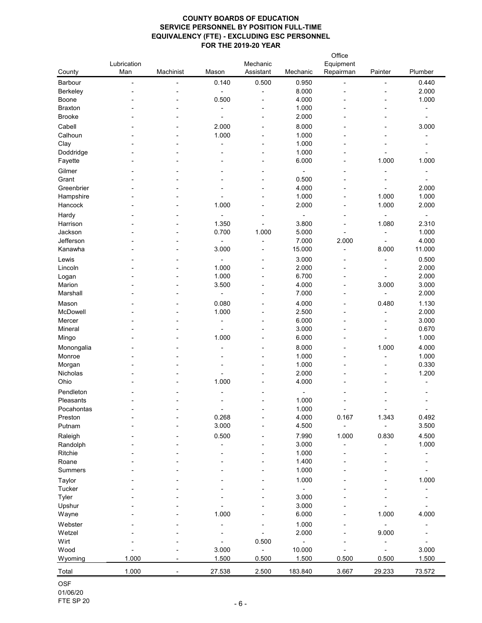| County                  | Lubrication<br>Man | Machinist | Mason          | Mechanic<br>Assistant | Mechanic       | Office<br>Equipment<br>Repairman | Painter        | Plumber |
|-------------------------|--------------------|-----------|----------------|-----------------------|----------------|----------------------------------|----------------|---------|
|                         |                    |           |                |                       |                |                                  |                |         |
| Barbour                 | $\blacksquare$     |           | 0.140          | 0.500                 | 0.950          |                                  | $\blacksquare$ | 0.440   |
| Berkeley                |                    |           |                |                       | 8.000          |                                  |                | 2.000   |
| Boone<br><b>Braxton</b> |                    |           | 0.500          |                       | 4.000<br>1.000 |                                  |                | 1.000   |
| <b>Brooke</b>           |                    |           |                |                       | 2.000          |                                  |                |         |
|                         |                    |           |                |                       |                |                                  |                |         |
| Cabell<br>Calhoun       |                    |           | 2.000<br>1.000 |                       | 8.000<br>1.000 |                                  |                | 3.000   |
| Clay                    |                    |           | -              |                       | 1.000          |                                  |                |         |
| Doddridge               |                    |           |                |                       | 1.000          |                                  |                |         |
| Fayette                 |                    |           |                |                       | 6.000          |                                  | 1.000          | 1.000   |
| Gilmer                  |                    |           |                |                       |                |                                  |                |         |
| Grant                   |                    |           |                |                       | 0.500          |                                  |                |         |
| Greenbrier              |                    |           |                |                       | 4.000          |                                  |                | 2.000   |
| Hampshire               |                    |           |                |                       | 1.000          |                                  | 1.000          | 1.000   |
| Hancock                 |                    |           | 1.000          |                       | 2.000          | ۰                                | 1.000          | 2.000   |
| Hardy                   |                    |           |                |                       |                |                                  |                |         |
| Harrison                |                    |           | 1.350          |                       | 3.800          |                                  | 1.080          | 2.310   |
| Jackson                 |                    |           | 0.700          | 1.000                 | 5.000          |                                  |                | 1.000   |
| Jefferson               |                    |           |                |                       | 7.000          | 2.000                            |                | 4.000   |
| Kanawha                 |                    |           | 3.000          |                       | 15.000         |                                  | 8.000          | 11.000  |
| Lewis                   |                    |           |                |                       | 3.000          |                                  |                | 0.500   |
| Lincoln                 |                    |           | 1.000          |                       | 2.000          |                                  |                | 2.000   |
| Logan                   |                    |           | 1.000          |                       | 6.700          |                                  |                | 2.000   |
| Marion                  |                    |           | 3.500          |                       | 4.000          |                                  | 3.000          | 3.000   |
| Marshall                |                    |           |                |                       | 7.000          |                                  |                | 2.000   |
| Mason                   |                    |           | 0.080          |                       | 4.000          |                                  | 0.480          | 1.130   |
| McDowell                |                    |           | 1.000          |                       | 2.500          |                                  |                | 2.000   |
| Mercer                  |                    |           |                |                       | 6.000          |                                  |                | 3.000   |
| Mineral                 |                    |           |                |                       | 3.000          |                                  |                | 0.670   |
| Mingo                   |                    |           | 1.000          |                       | 6.000          |                                  |                | 1.000   |
| Monongalia              |                    |           |                |                       | 8.000          |                                  | 1.000          | 4.000   |
| Monroe                  |                    |           |                |                       | 1.000          |                                  |                | 1.000   |
| Morgan                  |                    |           |                |                       | 1.000          |                                  |                | 0.330   |
| Nicholas                |                    |           |                |                       | 2.000          |                                  |                | 1.200   |
| Ohio                    |                    |           | 1.000          |                       | 4.000          |                                  |                |         |
| Pendleton               |                    |           |                |                       |                |                                  |                |         |
| Pleasants               |                    |           |                |                       | 1.000          |                                  |                |         |
| Pocahontas              |                    |           |                |                       | 1.000          |                                  |                |         |
| Preston                 |                    |           | 0.268          |                       | 4.000          | 0.167                            | 1.343          | 0.492   |
| Putnam                  |                    |           | 3.000          |                       | 4.500          |                                  |                | 3.500   |
| Raleigh                 |                    |           | 0.500          |                       | 7.990          | 1.000                            | 0.830          | 4.500   |
| Randolph                |                    |           |                |                       | 3.000          |                                  |                | 1.000   |
| Ritchie                 |                    |           |                |                       | 1.000          |                                  |                |         |
| Roane                   |                    |           |                |                       | 1.400          |                                  |                |         |
| <b>Summers</b>          |                    |           |                |                       | 1.000          |                                  |                |         |
| <b>Taylor</b>           |                    |           |                |                       | 1.000          |                                  |                | 1.000   |
| <b>Tucker</b>           |                    |           |                |                       |                |                                  |                |         |
| <b>Tyler</b><br>Upshur  |                    |           |                |                       | 3.000<br>3.000 |                                  |                |         |
|                         |                    |           | 1.000          |                       | 6.000          |                                  | 1.000          | 4.000   |
| Wayne                   |                    |           |                |                       |                |                                  |                |         |
| Webster                 |                    |           |                |                       | 1.000          |                                  |                |         |
| Wetzel<br>Wirt          |                    |           |                | 0.500                 | 2.000          |                                  | 9.000          |         |
| Wood                    |                    |           | 3.000          |                       | 10.000         |                                  |                | 3.000   |
| Wyoming                 | 1.000              |           | 1.500          | 0.500                 | 1.500          | 0.500                            | 0.500          | 1.500   |
|                         |                    |           |                |                       |                |                                  |                |         |
| Total                   | 1.000              |           | 27.538         | 2.500                 | 183.840        | 3.667                            | 29.233         | 73.572  |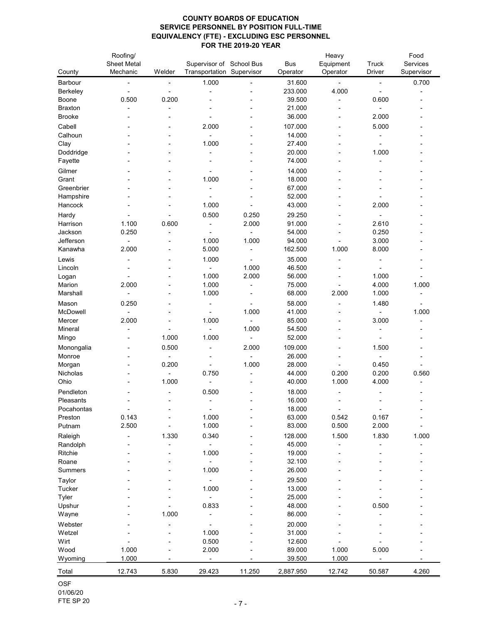|                      | Roofing/                       |        |                                                       |                |                        | Heavy                 |                               | Food                   |
|----------------------|--------------------------------|--------|-------------------------------------------------------|----------------|------------------------|-----------------------|-------------------------------|------------------------|
| County               | <b>Sheet Metal</b><br>Mechanic | Welder | Supervisor of School Bus<br>Transportation Supervisor |                | <b>Bus</b><br>Operator | Equipment<br>Operator | <b>Truck</b><br><b>Driver</b> | Services<br>Supervisor |
| Barbour              |                                |        | 1.000                                                 |                | 31.600                 |                       |                               | 0.700                  |
| Berkeley             |                                |        |                                                       |                | 233.000                | 4.000                 |                               |                        |
| Boone                | 0.500                          | 0.200  |                                                       |                | 39.500                 |                       | 0.600                         |                        |
| <b>Braxton</b>       |                                |        |                                                       |                | 21.000                 |                       |                               |                        |
| <b>Brooke</b>        |                                |        |                                                       |                | 36.000                 |                       | 2.000                         |                        |
| Cabell               |                                |        | 2.000                                                 |                | 107.000                |                       | 5.000                         |                        |
| Calhoun              |                                |        |                                                       |                | 14.000                 |                       |                               |                        |
| Clay                 |                                |        | 1.000                                                 |                | 27.400                 |                       |                               |                        |
| Doddridge            |                                |        |                                                       |                | 20.000                 |                       | 1.000                         |                        |
| Fayette              |                                |        |                                                       |                | 74.000                 |                       |                               |                        |
| Gilmer               |                                |        |                                                       |                | 14.000                 |                       |                               |                        |
| Grant                |                                |        | 1.000                                                 |                | 18.000                 |                       |                               |                        |
| Greenbrier           |                                |        |                                                       |                | 67.000                 |                       |                               |                        |
| Hampshire            |                                |        |                                                       |                | 52.000                 |                       |                               |                        |
| Hancock              |                                |        | 1.000                                                 |                | 43.000                 |                       | 2.000                         |                        |
| Hardy                |                                |        | 0.500                                                 | 0.250          | 29.250                 |                       |                               |                        |
| Harrison             | 1.100                          | 0.600  |                                                       | 2.000          | 91.000                 |                       | 2.610                         |                        |
| Jackson              | 0.250                          |        |                                                       |                | 54.000                 |                       | 0.250                         |                        |
| Jefferson            |                                |        | 1.000                                                 | 1.000          | 94.000                 |                       | 3.000                         |                        |
| Kanawha              | 2.000                          |        | 5.000                                                 | $\overline{a}$ | 162.500                | 1.000                 | 8.000                         |                        |
| Lewis                |                                |        | 1.000                                                 |                | 35.000                 |                       |                               |                        |
| Lincoln              |                                |        |                                                       | 1.000          | 46.500                 |                       |                               |                        |
| Logan                |                                |        | 1.000                                                 | 2.000          | 56.000                 |                       | 1.000                         |                        |
| Marion               | 2.000                          |        | 1.000                                                 |                | 75.000                 |                       | 4.000                         | 1.000                  |
| Marshall             |                                |        | 1.000                                                 |                | 68.000                 | 2.000                 | 1.000                         |                        |
|                      |                                |        |                                                       |                |                        |                       |                               |                        |
| Mason                | 0.250                          |        |                                                       |                | 58.000                 |                       | 1.480                         |                        |
| McDowell             |                                |        |                                                       | 1.000          | 41.000                 |                       |                               | 1.000                  |
| Mercer               | 2.000                          |        | 1.000                                                 |                | 85.000                 |                       | 3.000                         |                        |
| Mineral              |                                |        |                                                       | 1.000          | 54.500                 |                       |                               |                        |
| Mingo                |                                | 1.000  | 1.000                                                 |                | 52.000                 |                       |                               |                        |
| Monongalia           |                                | 0.500  |                                                       | 2.000          | 109.000                |                       | 1.500                         |                        |
| Monroe               |                                |        |                                                       |                | 26.000                 |                       |                               |                        |
| Morgan               |                                | 0.200  |                                                       | 1.000          | 28.000                 |                       | 0.450                         |                        |
| Nicholas             |                                |        | 0.750                                                 |                | 44.000                 | 0.200                 | 0.200                         | 0.560                  |
| Ohio                 |                                | 1.000  |                                                       |                | 40.000                 | 1.000                 | 4.000                         |                        |
| Pendleton            |                                |        | 0.500                                                 |                | 18.000                 |                       |                               |                        |
| Pleasants            |                                |        |                                                       |                | 16.000                 |                       |                               |                        |
| Pocahontas           |                                |        |                                                       |                | 18.000                 |                       |                               |                        |
| Preston              | 0.143                          |        | 1.000                                                 |                | 63.000                 | 0.542                 | 0.167                         |                        |
| Putnam               | 2.500                          |        | 1.000                                                 |                | 83.000                 | 0.500                 | 2.000                         |                        |
| Raleigh              |                                | 1.330  | 0.340                                                 |                | 128.000                | 1.500                 | 1.830                         | 1.000                  |
| Randolph             |                                |        |                                                       |                | 45.000                 |                       |                               |                        |
| Ritchie              |                                |        | 1.000                                                 |                | 19.000                 |                       |                               |                        |
| Roane                |                                |        |                                                       |                | 32.100                 |                       |                               |                        |
| <b>Summers</b>       |                                |        | 1.000                                                 |                | 26.000                 |                       |                               |                        |
| Taylor               |                                |        |                                                       |                | 29.500                 |                       |                               |                        |
| <b>Tucker</b>        |                                |        | 1.000                                                 |                | 13.000                 |                       |                               |                        |
| <b>Tyler</b>         |                                |        |                                                       |                | 25.000                 |                       |                               |                        |
| Upshur               |                                |        | 0.833                                                 |                | 48.000                 |                       | 0.500                         |                        |
| Wayne                |                                | 1.000  |                                                       |                | 86.000                 |                       |                               |                        |
| Webster              |                                |        |                                                       |                | 20.000                 |                       |                               |                        |
| Wetzel               |                                |        | 1.000                                                 |                | 31.000                 |                       |                               |                        |
| Wirt                 |                                |        | 0.500                                                 |                | 12.600                 |                       |                               |                        |
| Wood                 | 1.000                          |        | 2.000                                                 |                | 89.000                 | 1.000                 | 5.000                         |                        |
| Wyoming              | 1.000                          |        |                                                       |                | 39.500                 | 1.000                 |                               |                        |
| Total                | 12.743                         | 5.830  | 29.423                                                | 11.250         | 2,887.950              | 12.742                | 50.587                        | 4.260                  |
| $\sim$ $\sim$ $\sim$ |                                |        |                                                       |                |                        |                       |                               |                        |